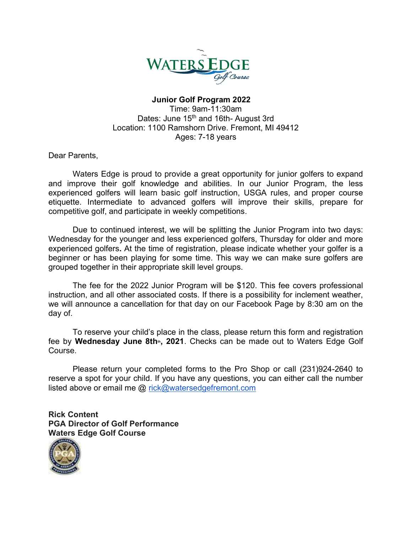

## Junior Golf Program 2022 Time: 9am-11:30am Dates: June 15<sup>th</sup> and 16th- August 3rd Location: 1100 Ramshorn Drive. Fremont, MI 49412 Ages: 7-18 years

Dear Parents,

Waters Edge is proud to provide a great opportunity for junior golfers to expand and improve their golf knowledge and abilities. In our Junior Program, the less experienced golfers will learn basic golf instruction, USGA rules, and proper course etiquette. Intermediate to advanced golfers will improve their skills, prepare for competitive golf, and participate in weekly competitions.

Due to continued interest, we will be splitting the Junior Program into two days: Wednesday for the younger and less experienced golfers, Thursday for older and more experienced golfers. At the time of registration, please indicate whether your golfer is a beginner or has been playing for some time. This way we can make sure golfers are grouped together in their appropriate skill level groups.

The fee for the 2022 Junior Program will be \$120. This fee covers professional instruction, and all other associated costs. If there is a possibility for inclement weather, we will announce a cancellation for that day on our Facebook Page by 8:30 am on the day of.

 To reserve your child's place in the class, please return this form and registration fee by Wednesday June 8th<sup>th</sup>, 2021. Checks can be made out to Waters Edge Golf Course.

Please return your completed forms to the Pro Shop or call (231)924-2640 to reserve a spot for your child. If you have any questions, you can either call the number listed above or email me @ rick@watersedgefremont.com

Rick Content PGA Director of Golf Performance Waters Edge Golf Course